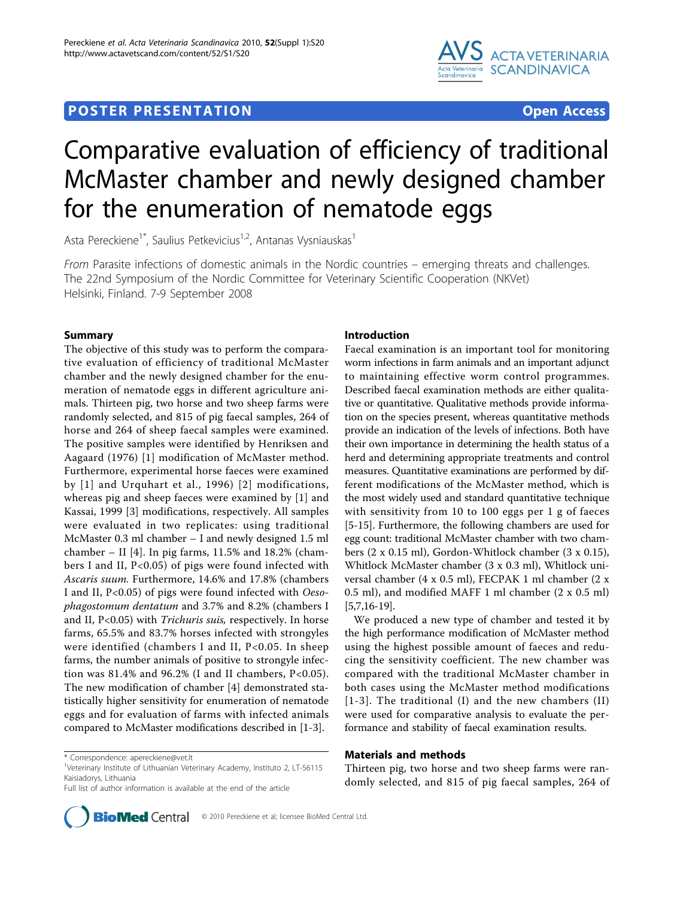# **POSTER PRESENTATION CONSUMING ACCESS**



# Comparative evaluation of efficiency of traditional McMaster chamber and newly designed chamber for the enumeration of nematode eggs

Asta Pereckiene<sup>1\*</sup>, Saulius Petkevicius<sup>1,2</sup>, Antanas Vysniauskas<sup>1</sup>

From Parasite infections of domestic animals in the Nordic countries – emerging threats and challenges. The 22nd Symposium of the Nordic Committee for Veterinary Scientific Cooperation (NKVet) Helsinki, Finland. 7-9 September 2008

# Summary

The objective of this study was to perform the comparative evaluation of efficiency of traditional McMaster chamber and the newly designed chamber for the enumeration of nematode eggs in different agriculture animals. Thirteen pig, two horse and two sheep farms were randomly selected, and 815 of pig faecal samples, 264 of horse and 264 of sheep faecal samples were examined. The positive samples were identified by Henriksen and Aagaard (1976) [[1\]](#page-1-0) modification of McMaster method. Furthermore, experimental horse faeces were examined by [\[1\]](#page-1-0) and Urquhart et al., 1996) [[2\]](#page-1-0) modifications, whereas pig and sheep faeces were examined by [[1](#page-1-0)] and Kassai, 1999 [\[3\]](#page-1-0) modifications, respectively. All samples were evaluated in two replicates: using traditional McMaster 0.3 ml chamber – I and newly designed 1.5 ml chamber – II [[4](#page-1-0)]. In pig farms,  $11.5\%$  and  $18.2\%$  (chambers I and II, P<0.05) of pigs were found infected with Ascaris suum. Furthermore, 14.6% and 17.8% (chambers I and II, P<0.05) of pigs were found infected with Oesophagostomum dentatum and 3.7% and 8.2% (chambers I and II, P<0.05) with *Trichuris suis*, respectively. In horse farms, 65.5% and 83.7% horses infected with strongyles were identified (chambers I and II, P<0.05. In sheep farms, the number animals of positive to strongyle infection was 81.4% and 96.2% (I and II chambers,  $P<0.05$ ). The new modification of chamber [\[4](#page-1-0)] demonstrated statistically higher sensitivity for enumeration of nematode eggs and for evaluation of farms with infected animals compared to McMaster modifications described in [\[1](#page-1-0)-[3](#page-1-0)].



Faecal examination is an important tool for monitoring worm infections in farm animals and an important adjunct to maintaining effective worm control programmes. Described faecal examination methods are either qualitative or quantitative. Qualitative methods provide information on the species present, whereas quantitative methods provide an indication of the levels of infections. Both have their own importance in determining the health status of a herd and determining appropriate treatments and control measures. Quantitative examinations are performed by different modifications of the McMaster method, which is the most widely used and standard quantitative technique with sensitivity from 10 to 100 eggs per 1 g of faeces [[5-15](#page-1-0)]. Furthermore, the following chambers are used for egg count: traditional McMaster chamber with two chambers (2 x 0.15 ml), Gordon-Whitlock chamber (3 x 0.15), Whitlock McMaster chamber (3 x 0.3 ml), Whitlock universal chamber (4 x 0.5 ml), FECPAK 1 ml chamber (2 x 0.5 ml), and modified MAFF 1 ml chamber (2 x 0.5 ml) [[5,7,16-19](#page-1-0)].

We produced a new type of chamber and tested it by the high performance modification of McMaster method using the highest possible amount of faeces and reducing the sensitivity coefficient. The new chamber was compared with the traditional McMaster chamber in both cases using the McMaster method modifications [[1-3\]](#page-1-0). The traditional (I) and the new chambers (II) were used for comparative analysis to evaluate the performance and stability of faecal examination results.

# Materials and methods

Thirteen pig, two horse and two sheep farms were randomly selected, and 815 of pig faecal samples, 264 of

<sup>\*</sup> Correspondence: [apereckiene@vet.lt](mailto:apereckiene@vet.lt)

<sup>&</sup>lt;sup>1</sup>Veterinary Institute of Lithuanian Veterinary Academy, Instituto 2, LT-56115 Kaisiadorys, Lithuania

Full list of author information is available at the end of the article